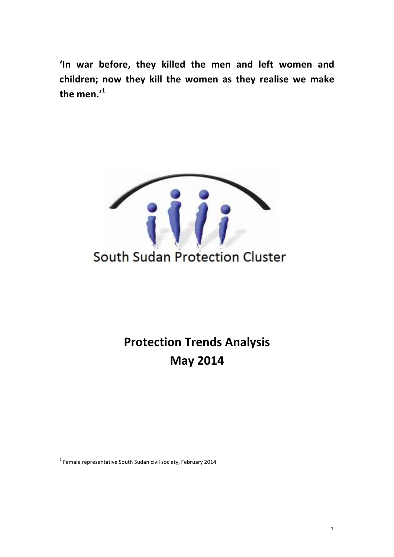'In war before, they killed the men and left women and children; now they kill the women as they realise we make **the men.'<sup>1</sup>**



**Protection Trends Analysis May 2014**

 $1$  Female representative South Sudan civil society, February 2014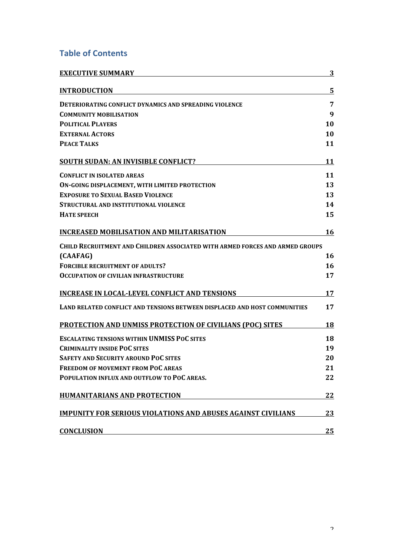# **Table of Contents**

| <b>EXECUTIVE SUMMARY</b>                                                            | 3  |
|-------------------------------------------------------------------------------------|----|
| <b>INTRODUCTION</b>                                                                 | 5  |
| <b>DETERIORATING CONFLICT DYNAMICS AND SPREADING VIOLENCE</b>                       | 7  |
| <b>COMMUNITY MOBILISATION</b>                                                       | 9  |
| <b>POLITICAL PLAYERS</b>                                                            | 10 |
| <b>EXTERNAL ACTORS</b>                                                              | 10 |
| <b>PEACE TALKS</b>                                                                  | 11 |
| <b>SOUTH SUDAN: AN INVISIBLE CONFLICT?</b>                                          | 11 |
| <b>CONFLICT IN ISOLATED AREAS</b>                                                   | 11 |
| ON-GOING DISPLACEMENT, WITH LIMITED PROTECTION                                      | 13 |
| <b>EXPOSURE TO SEXUAL BASED VIOLENCE</b>                                            | 13 |
| STRUCTURAL AND INSTITUTIONAL VIOLENCE                                               | 14 |
| <b>HATE SPEECH</b>                                                                  | 15 |
| <b>INCREASED MOBILISATION AND MILITARISATION</b>                                    | 16 |
| <b>CHILD RECRUITMENT AND CHILDREN ASSOCIATED WITH ARMED FORCES AND ARMED GROUPS</b> |    |
| (CAAFAG)                                                                            | 16 |
| <b>FORCIBLE RECRUITMENT OF ADULTS?</b>                                              | 16 |
| <b>OCCUPATION OF CIVILIAN INFRASTRUCTURE</b>                                        | 17 |
| <b>INCREASE IN LOCAL-LEVEL CONFLICT AND TENSIONS</b>                                | 17 |
| LAND RELATED CONFLICT AND TENSIONS BETWEEN DISPLACED AND HOST COMMUNITIES           | 17 |
| <b>PROTECTION AND UNMISS PROTECTION OF CIVILIANS (POC) SITES</b>                    | 18 |
| <b>ESCALATING TENSIONS WITHIN UNMISS POC SITES</b>                                  | 18 |
| <b>CRIMINALITY INSIDE POC SITES</b>                                                 | 19 |
| <b>SAFETY AND SECURITY AROUND POC SITES</b>                                         | 20 |
| <b>FREEDOM OF MOVEMENT FROM POC AREAS</b>                                           | 21 |
| POPULATION INFLUX AND OUTFLOW TO POC AREAS.                                         | 22 |
| <b>HUMANITARIANS AND PROTECTION</b>                                                 | 22 |
| <b>IMPUNITY FOR SERIOUS VIOLATIONS AND ABUSES AGAINST CIVILIANS</b>                 | 23 |
| <b>CONCLUSION</b>                                                                   | 25 |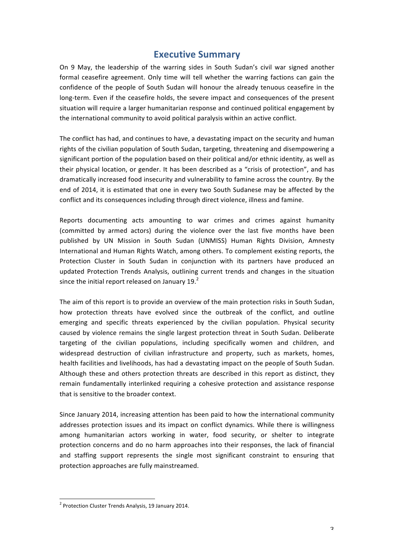## **Executive Summary**

On 9 May, the leadership of the warring sides in South Sudan's civil war signed another formal ceasefire agreement. Only time will tell whether the warring factions can gain the confidence of the people of South Sudan will honour the already tenuous ceasefire in the long-term. Even if the ceasefire holds, the severe impact and consequences of the present situation will require a larger humanitarian response and continued political engagement by the international community to avoid political paralysis within an active conflict.

The conflict has had, and continues to have, a devastating impact on the security and human rights of the civilian population of South Sudan, targeting, threatening and disempowering a significant portion of the population based on their political and/or ethnic identity, as well as their physical location, or gender. It has been described as a "crisis of protection", and has dramatically increased food insecurity and vulnerability to famine across the country. By the end of 2014, it is estimated that one in every two South Sudanese may be affected by the conflict and its consequences including through direct violence, illness and famine.

Reports documenting acts amounting to war crimes and crimes against humanity (committed by armed actors) during the violence over the last five months have been published by UN Mission in South Sudan (UNMISS) Human Rights Division, Amnesty International and Human Rights Watch, among others. To complement existing reports, the Protection Cluster in South Sudan in conjunction with its partners have produced an updated Protection Trends Analysis, outlining current trends and changes in the situation since the initial report released on January  $19.<sup>2</sup>$ 

The aim of this report is to provide an overview of the main protection risks in South Sudan, how protection threats have evolved since the outbreak of the conflict, and outline emerging and specific threats experienced by the civilian population. Physical security caused by violence remains the single largest protection threat in South Sudan. Deliberate targeting of the civilian populations, including specifically women and children, and widespread destruction of civilian infrastructure and property, such as markets, homes, health facilities and livelihoods, has had a devastating impact on the people of South Sudan. Although these and others protection threats are described in this report as distinct, they remain fundamentally interlinked requiring a cohesive protection and assistance response that is sensitive to the broader context.

Since January 2014, increasing attention has been paid to how the international community addresses protection issues and its impact on conflict dynamics. While there is willingness among humanitarian actors working in water, food security, or shelter to integrate protection concerns and do no harm approaches into their responses, the lack of financial and staffing support represents the single most significant constraint to ensuring that protection approaches are fully mainstreamed.

 $2$  Protection Cluster Trends Analysis, 19 January 2014.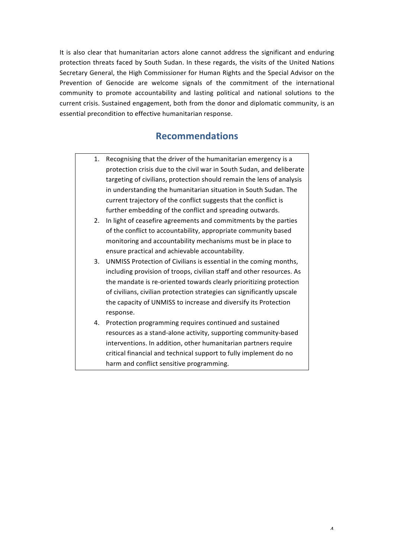It is also clear that humanitarian actors alone cannot address the significant and enduring protection threats faced by South Sudan. In these regards, the visits of the United Nations Secretary General, the High Commissioner for Human Rights and the Special Advisor on the Prevention of Genocide are welcome signals of the commitment of the international community to promote accountability and lasting political and national solutions to the current crisis. Sustained engagement, both from the donor and diplomatic community, is an essential precondition to effective humanitarian response.

# **Recommendations**

- 1. Recognising that the driver of the humanitarian emergency is a protection crisis due to the civil war in South Sudan, and deliberate targeting of civilians, protection should remain the lens of analysis in understanding the humanitarian situation in South Sudan. The current trajectory of the conflict suggests that the conflict is further embedding of the conflict and spreading outwards.
- 2. In light of ceasefire agreements and commitments by the parties of the conflict to accountability, appropriate community based monitoring and accountability mechanisms must be in place to ensure practical and achievable accountability.
- 3. UNMISS Protection of Civilians is essential in the coming months, including provision of troops, civilian staff and other resources. As the mandate is re-oriented towards clearly prioritizing protection of civilians, civilian protection strategies can significantly upscale the capacity of UNMISS to increase and diversify its Protection response.
- 4. Protection programming requires continued and sustained resources as a stand-alone activity, supporting community-based interventions. In addition, other humanitarian partners require critical financial and technical support to fully implement do no harm and conflict sensitive programming.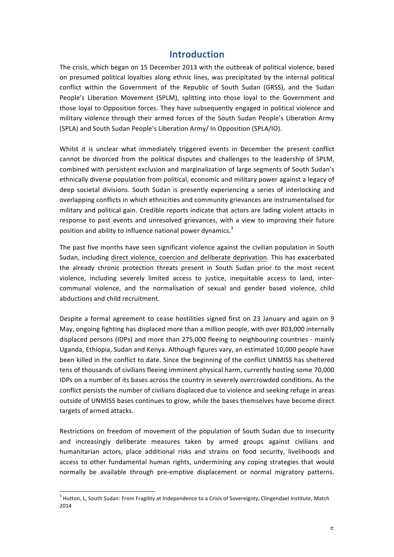## **Introduction**

The crisis, which began on 15 December 2013 with the outbreak of political violence, based on presumed political loyalties along ethnic lines, was precipitated by the internal political conflict within the Government of the Republic of South Sudan (GRSS), and the Sudan People's Liberation Movement (SPLM), splitting into those loyal to the Government and those loyal to Opposition forces. They have subsequently engaged in political violence and military violence through their armed forces of the South Sudan People's Liberation Army (SPLA) and South Sudan People's Liberation Army/ In Opposition (SPLA/IO).

Whilst it is unclear what immediately triggered events in December the present conflict cannot be divorced from the political disputes and challenges to the leadership of SPLM, combined with persistent exclusion and marginalization of large segments of South Sudan's ethnically diverse population from political, economic and military power against a legacy of deep societal divisions. South Sudan is presently experiencing a series of interlocking and overlapping conflicts in which ethnicities and community grievances are instrumentalised for military and political gain. Credible reports indicate that actors are lading violent attacks in response to past events and unresolved grievances, with a view to improving their future position and ability to influence national power dynamics. $3$ 

The past five months have seen significant violence against the civilian population in South Sudan, including direct violence, coercion and deliberate deprivation. This has exacerbated the already chronic protection threats present in South Sudan prior to the most recent violence, including severely limited access to justice, inequitable access to land, intercommunal violence, and the normalisation of sexual and gender based violence, child abductions and child recruitment.

Despite a formal agreement to cease hostilities signed first on 23 January and again on 9 May, ongoing fighting has displaced more than a million people, with over 803,000 internally displaced persons (IDPs) and more than 275,000 fleeing to neighbouring countries - mainly Uganda, Ethiopia, Sudan and Kenya. Although figures vary, an estimated 10,000 people have been killed in the conflict to date. Since the beginning of the conflict UNMISS has sheltered tens of thousands of civilians fleeing imminent physical harm, currently hosting some 70,000 IDPs on a number of its bases across the country in severely overcrowded conditions. As the conflict persists the number of civilians displaced due to violence and seeking refuge in areas outside of UNMISS bases continues to grow, while the bases themselves have become direct targets of armed attacks.

Restrictions on freedom of movement of the population of South Sudan due to insecurity and increasingly deliberate measures taken by armed groups against civilians and humanitarian actors, place additional risks and strains on food security, livelihoods and access to other fundamental human rights, undermining any coping strategies that would normally be available through pre-emptive displacement or normal migratory patterns.

 $3$  Hutton, L, South Sudan: From Fragility at Independence to a Crisis of Sovereignty, Clingendael Institute, Match 2014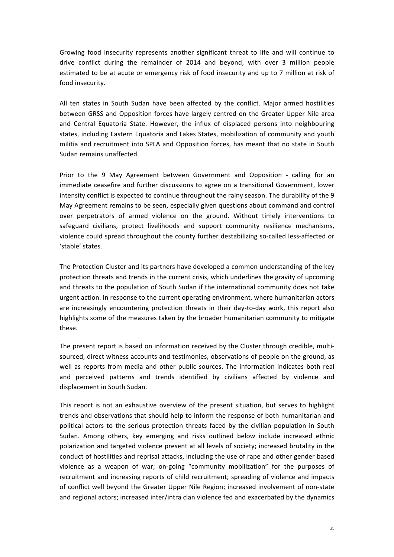Growing food insecurity represents another significant threat to life and will continue to drive conflict during the remainder of 2014 and beyond, with over 3 million people estimated to be at acute or emergency risk of food insecurity and up to 7 million at risk of food insecurity.

All ten states in South Sudan have been affected by the conflict. Major armed hostilities between GRSS and Opposition forces have largely centred on the Greater Upper Nile area and Central Equatoria State. However, the influx of displaced persons into neighbouring states, including Eastern Equatoria and Lakes States, mobilization of community and youth militia and recruitment into SPLA and Opposition forces, has meant that no state in South Sudan remains unaffected.

Prior to the 9 May Agreement between Government and Opposition - calling for an immediate ceasefire and further discussions to agree on a transitional Government, lower intensity conflict is expected to continue throughout the rainy season. The durability of the 9 May Agreement remains to be seen, especially given questions about command and control over perpetrators of armed violence on the ground. Without timely interventions to safeguard civilians, protect livelihoods and support community resilience mechanisms, violence could spread throughout the county further destabilizing so-called less-affected or 'stable' states.

The Protection Cluster and its partners have developed a common understanding of the key protection threats and trends in the current crisis, which underlines the gravity of upcoming and threats to the population of South Sudan if the international community does not take urgent action. In response to the current operating environment, where humanitarian actors are increasingly encountering protection threats in their day-to-day work, this report also highlights some of the measures taken by the broader humanitarian community to mitigate these. 

The present report is based on information received by the Cluster through credible, multisourced, direct witness accounts and testimonies, observations of people on the ground, as well as reports from media and other public sources. The information indicates both real and perceived patterns and trends identified by civilians affected by violence and displacement in South Sudan.

This report is not an exhaustive overview of the present situation, but serves to highlight trends and observations that should help to inform the response of both humanitarian and political actors to the serious protection threats faced by the civilian population in South Sudan. Among others, key emerging and risks outlined below include increased ethnic polarization and targeted violence present at all levels of society; increased brutality in the conduct of hostilities and reprisal attacks, including the use of rape and other gender based violence as a weapon of war; on-going "community mobilization" for the purposes of recruitment and increasing reports of child recruitment; spreading of violence and impacts of conflict well beyond the Greater Upper Nile Region; increased involvement of non-state and regional actors; increased inter/intra clan violence fed and exacerbated by the dynamics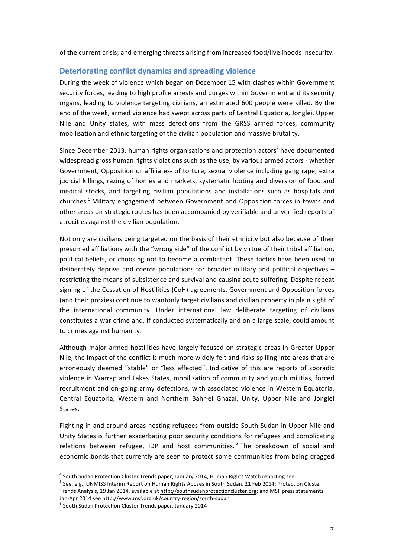of the current crisis; and emerging threats arising from increased food/livelihoods insecurity.

### **Deteriorating conflict dynamics and spreading violence**

During the week of violence which began on December 15 with clashes within Government security forces, leading to high profile arrests and purges within Government and its security organs, leading to violence targeting civilians, an estimated 600 people were killed. By the end of the week, armed violence had swept across parts of Central Equatoria, Jonglei, Upper Nile and Unity states, with mass defections from the GRSS armed forces, community mobilisation and ethnic targeting of the civilian population and massive brutality.

Since December 2013, human rights organisations and protection actors<sup>4</sup> have documented widespread gross human rights violations such as the use, by various armed actors - whether Government, Opposition or affiliates- of torture, sexual violence including gang rape, extra judicial killings, razing of homes and markets, systematic looting and diversion of food and medical stocks, and targeting civilian populations and installations such as hospitals and churches.<sup>5</sup> Military engagement between Government and Opposition forces in towns and other areas on strategic routes has been accompanied by verifiable and unverified reports of atrocities against the civilian population.

Not only are civilians being targeted on the basis of their ethnicity but also because of their presumed affiliations with the "wrong side" of the conflict by virtue of their tribal affiliation, political beliefs, or choosing not to become a combatant. These tactics have been used to deliberately deprive and coerce populations for broader military and political objectives  $$ restricting the means of subsistence and survival and causing acute suffering. Despite repeat signing of the Cessation of Hostilities (CoH) agreements, Government and Opposition forces (and their proxies) continue to wantonly target civilians and civilian property in plain sight of the international community. Under international law deliberate targeting of civilians constitutes a war crime and, if conducted systematically and on a large scale, could amount to crimes against humanity.

Although major armed hostilities have largely focused on strategic areas in Greater Upper Nile, the impact of the conflict is much more widely felt and risks spilling into areas that are erroneously deemed "stable" or "less affected". Indicative of this are reports of sporadic violence in Warrap and Lakes States, mobilization of community and youth militias, forced recruitment and on-going army defections, with associated violence in Western Equatoria, Central Equatoria, Western and Northern Bahr-el Ghazal, Unity, Upper Nile and Jonglei States.

Fighting in and around areas hosting refugees from outside South Sudan in Upper Nile and Unity States is further exacerbating poor security conditions for refugees and complicating relations between refugee, IDP and host communities.<sup>6</sup> The breakdown of social and economic bonds that currently are seen to protect some communities from being dragged

 $5$  See, e.g., UNMISS Interim Report on Human Rights Abuses in South Sudan, 21 Feb 2014; Protection Cluster Trends Analysis, 19 Jan 2014, available at http://southsudanprotectioncluster.org; and MSF press statements

 $^4$  South Sudan Protection Cluster Trends paper, January 2014; Human Rights Watch reporting see:

Jan-Apr 2014 see http://www.msf.org.uk/country-region/south-sudan 6<br>
<sup>6</sup> South Sudan Protection Cluster Trends paper, January 2014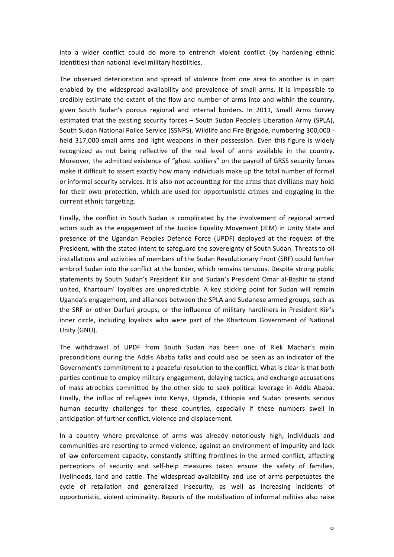into a wider conflict could do more to entrench violent conflict (by hardening ethnic identities) than national level military hostilities.

The observed deterioration and spread of violence from one area to another is in part enabled by the widespread availability and prevalence of small arms. It is impossible to credibly estimate the extent of the flow and number of arms into and within the country, given South Sudan's porous regional and internal borders. In 2011, Small Arms Survey estimated that the existing security forces – South Sudan People's Liberation Army (SPLA), South Sudan National Police Service (SSNPS), Wildlife and Fire Brigade, numbering 300,000 held 317,000 small arms and light weapons in their possession. Even this figure is widely recognized as not being reflective of the real level of arms available in the country. Moreover, the admitted existence of "ghost soldiers" on the payroll of GRSS security forces make it difficult to assert exactly how many individuals make up the total number of formal or informal security services. It is also not accounting for the arms that civilians may hold for their own protection, which are used for opportunistic crimes and engaging in the current ethnic targeting.

Finally, the conflict in South Sudan is complicated by the involvement of regional armed actors such as the engagement of the Justice Equality Movement (JEM) in Unity State and presence of the Ugandan Peoples Defence Force (UPDF) deployed at the request of the President, with the stated intent to safeguard the sovereignty of South Sudan. Threats to oil installations and activities of members of the Sudan Revolutionary Front (SRF) could further embroil Sudan into the conflict at the border, which remains tenuous. Despite strong public statements by South Sudan's President Kiir and Sudan's President Omar al-Bashir to stand united, Khartoum' loyalties are unpredictable. A key sticking point for Sudan will remain Uganda's engagement, and alliances between the SPLA and Sudanese armed groups, such as the SRF or other Darfuri groups, or the influence of military hardliners in President Kiir's inner circle, including loyalists who were part of the Khartoum Government of National Unity (GNU).

The withdrawal of UPDF from South Sudan has been one of Riek Machar's main preconditions during the Addis Ababa talks and could also be seen as an indicator of the Government's commitment to a peaceful resolution to the conflict. What is clear is that both parties continue to employ military engagement, delaying tactics, and exchange accusations of mass atrocities committed by the other side to seek political leverage in Addis Ababa. Finally, the influx of refugees into Kenya, Uganda, Ethiopia and Sudan presents serious human security challenges for these countries, especially if these numbers swell in anticipation of further conflict, violence and displacement.

In a country where prevalence of arms was already notoriously high, individuals and communities are resorting to armed violence, against an environment of impunity and lack of law enforcement capacity, constantly shifting frontlines in the armed conflict, affecting perceptions of security and self-help measures taken ensure the safety of families, livelihoods, land and cattle. The widespread availability and use of arms perpetuates the cycle of retaliation and generalized insecurity, as well as increasing incidents of opportunistic, violent criminality. Reports of the mobilization of informal militias also raise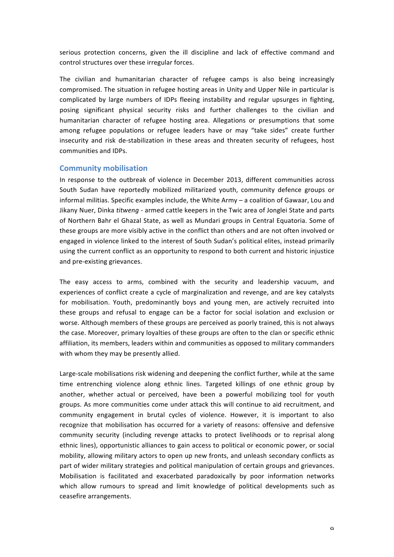serious protection concerns, given the ill discipline and lack of effective command and control structures over these irregular forces.

The civilian and humanitarian character of refugee camps is also being increasingly compromised. The situation in refugee hosting areas in Unity and Upper Nile in particular is complicated by large numbers of IDPs fleeing instability and regular upsurges in fighting, posing significant physical security risks and further challenges to the civilian and humanitarian character of refugee hosting area. Allegations or presumptions that some among refugee populations or refugee leaders have or may "take sides" create further insecurity and risk de-stabilization in these areas and threaten security of refugees, host communities and IDPs. 

#### **Community mobilisation**

In response to the outbreak of violence in December 2013, different communities across South Sudan have reportedly mobilized militarized youth, community defence groups or informal militias. Specific examples include, the White Army  $-$  a coalition of Gawaar, Lou and Jikany Nuer, Dinka *titweng* - armed cattle keepers in the Twic area of Jonglei State and parts of Northern Bahr el Ghazal State, as well as Mundari groups in Central Equatoria. Some of these groups are more visibly active in the conflict than others and are not often involved or engaged in violence linked to the interest of South Sudan's political elites, instead primarily using the current conflict as an opportunity to respond to both current and historic injustice and pre-existing grievances.

The easy access to arms, combined with the security and leadership vacuum, and experiences of conflict create a cycle of marginalization and revenge, and are key catalysts for mobilisation. Youth, predominantly boys and young men, are actively recruited into these groups and refusal to engage can be a factor for social isolation and exclusion or worse. Although members of these groups are perceived as poorly trained, this is not always the case. Moreover, primary loyalties of these groups are often to the clan or specific ethnic affiliation, its members, leaders within and communities as opposed to military commanders with whom they may be presently allied.

Large-scale mobilisations risk widening and deepening the conflict further, while at the same time entrenching violence along ethnic lines. Targeted killings of one ethnic group by another, whether actual or perceived, have been a powerful mobilizing tool for youth groups. As more communities come under attack this will continue to aid recruitment, and community engagement in brutal cycles of violence. However, it is important to also recognize that mobilisation has occurred for a variety of reasons: offensive and defensive community security (including revenge attacks to protect livelihoods or to reprisal along ethnic lines), opportunistic alliances to gain access to political or economic power, or social mobility, allowing military actors to open up new fronts, and unleash secondary conflicts as part of wider military strategies and political manipulation of certain groups and grievances. Mobilisation is facilitated and exacerbated paradoxically by poor information networks which allow rumours to spread and limit knowledge of political developments such as ceasefire arrangements.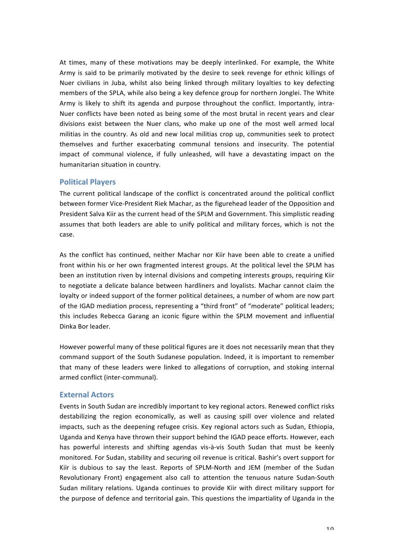At times, many of these motivations may be deeply interlinked. For example, the White Army is said to be primarily motivated by the desire to seek revenge for ethnic killings of Nuer civilians in Juba, whilst also being linked through military loyalties to key defecting members of the SPLA, while also being a key defence group for northern Jonglei. The White Army is likely to shift its agenda and purpose throughout the conflict. Importantly, intra-Nuer conflicts have been noted as being some of the most brutal in recent years and clear divisions exist between the Nuer clans, who make up one of the most well armed local militias in the country. As old and new local militias crop up, communities seek to protect themselves and further exacerbating communal tensions and insecurity. The potential impact of communal violence, if fully unleashed, will have a devastating impact on the humanitarian situation in country.

### **Political Players**

The current political landscape of the conflict is concentrated around the political conflict between former Vice-President Riek Machar, as the figurehead leader of the Opposition and President Salva Kiir as the current head of the SPLM and Government. This simplistic reading assumes that both leaders are able to unify political and military forces, which is not the case.

As the conflict has continued, neither Machar nor Kiir have been able to create a unified front within his or her own fragmented interest groups. At the political level the SPLM has been an institution riven by internal divisions and competing interests groups, requiring Kiir to negotiate a delicate balance between hardliners and loyalists. Machar cannot claim the loyalty or indeed support of the former political detainees, a number of whom are now part of the IGAD mediation process, representing a "third front" of "moderate" political leaders; this includes Rebecca Garang an iconic figure within the SPLM movement and influential Dinka Bor leader. 

However powerful many of these political figures are it does not necessarily mean that they command support of the South Sudanese population. Indeed, it is important to remember that many of these leaders were linked to allegations of corruption, and stoking internal armed conflict (inter-communal).

### **External Actors**

Events in South Sudan are incredibly important to key regional actors. Renewed conflict risks destabilizing the region economically, as well as causing spill over violence and related impacts, such as the deepening refugee crisis. Key regional actors such as Sudan, Ethiopia, Uganda and Kenya have thrown their support behind the IGAD peace efforts. However, each has powerful interests and shifting agendas vis-à-vis South Sudan that must be keenly monitored. For Sudan, stability and securing oil revenue is critical. Bashir's overt support for Kiir is dubious to say the least. Reports of SPLM-North and JEM (member of the Sudan Revolutionary Front) engagement also call to attention the tenuous nature Sudan-South Sudan military relations. Uganda continues to provide Kiir with direct military support for the purpose of defence and territorial gain. This questions the impartiality of Uganda in the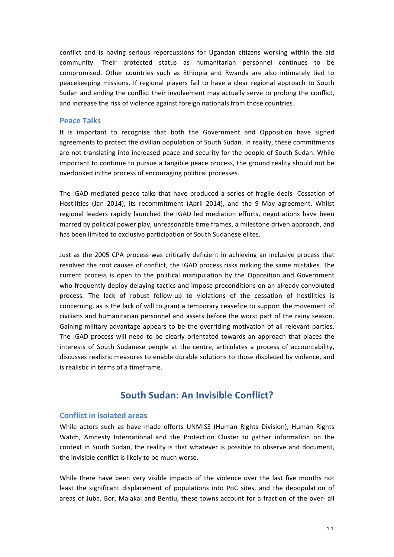conflict and is having serious repercussions for Ugandan citizens working within the aid community. Their protected status as humanitarian personnel continues to be compromised. Other countries such as Ethiopia and Rwanda are also intimately tied to peacekeeping missions. If regional players fail to have a clear regional approach to South Sudan and ending the conflict their involvement may actually serve to prolong the conflict, and increase the risk of violence against foreign nationals from those countries.

#### **Peace Talks**

It is important to recognise that both the Government and Opposition have signed agreements to protect the civilian population of South Sudan. In reality, these commitments are not translating into increased peace and security for the people of South Sudan. While important to continue to pursue a tangible peace process, the ground reality should not be overlooked in the process of encouraging political processes.

The IGAD mediated peace talks that have produced a series of fragile deals- Cessation of Hostilities (Jan 2014), its recommitment (April 2014), and the 9 May agreement. Whilst regional leaders rapidly launched the IGAD led mediation efforts, negotiations have been marred by political power play, unreasonable time frames, a milestone driven approach, and has been limited to exclusive participation of South Sudanese elites.

Just as the 2005 CPA process was critically deficient in achieving an inclusive process that resolved the root causes of conflict, the IGAD process risks making the same mistakes. The current process is open to the political manipulation by the Opposition and Government who frequently deploy delaying tactics and impose preconditions on an already convoluted process. The lack of robust follow-up to violations of the cessation of hostilities is concerning, as is the lack of will to grant a temporary ceasefire to support the movement of civilians and humanitarian personnel and assets before the worst part of the rainy season. Gaining military advantage appears to be the overriding motivation of all relevant parties. The IGAD process will need to be clearly orientated towards an approach that places the interests of South Sudanese people at the centre, articulates a process of accountability, discusses realistic measures to enable durable solutions to those displaced by violence, and is realistic in terms of a timeframe.

# South Sudan: An Invisible Conflict?

#### **Conflict in isolated areas**

While actors such as have made efforts UNMISS (Human Rights Division), Human Rights Watch, Amnesty International and the Protection Cluster to gather information on the context in South Sudan, the reality is that whatever is possible to observe and document, the invisible conflict is likely to be much worse.

While there have been very visible impacts of the violence over the last five months not least the significant displacement of populations into PoC sites, and the depopulation of areas of Juba, Bor, Malakal and Bentiu, these towns account for a fraction of the over- all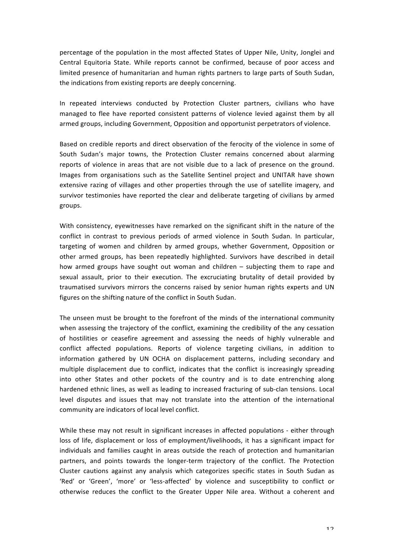percentage of the population in the most affected States of Upper Nile, Unity, Jonglei and Central Equitoria State. While reports cannot be confirmed, because of poor access and limited presence of humanitarian and human rights partners to large parts of South Sudan, the indications from existing reports are deeply concerning.

In repeated interviews conducted by Protection Cluster partners, civilians who have managed to flee have reported consistent patterns of violence levied against them by all armed groups, including Government, Opposition and opportunist perpetrators of violence.

Based on credible reports and direct observation of the ferocity of the violence in some of South Sudan's major towns, the Protection Cluster remains concerned about alarming reports of violence in areas that are not visible due to a lack of presence on the ground. Images from organisations such as the Satellite Sentinel project and UNITAR have shown extensive razing of villages and other properties through the use of satellite imagery, and survivor testimonies have reported the clear and deliberate targeting of civilians by armed groups. 

With consistency, eyewitnesses have remarked on the significant shift in the nature of the conflict in contrast to previous periods of armed violence in South Sudan. In particular, targeting of women and children by armed groups, whether Government, Opposition or other armed groups, has been repeatedly highlighted. Survivors have described in detail how armed groups have sought out woman and children  $-$  subjecting them to rape and sexual assault, prior to their execution. The excruciating brutality of detail provided by traumatised survivors mirrors the concerns raised by senior human rights experts and UN figures on the shifting nature of the conflict in South Sudan.

The unseen must be brought to the forefront of the minds of the international community when assessing the trajectory of the conflict, examining the credibility of the any cessation of hostilities or ceasefire agreement and assessing the needs of highly vulnerable and conflict affected populations. Reports of violence targeting civilians, in addition to information gathered by UN OCHA on displacement patterns, including secondary and multiple displacement due to conflict, indicates that the conflict is increasingly spreading into other States and other pockets of the country and is to date entrenching along hardened ethnic lines, as well as leading to increased fracturing of sub-clan tensions. Local level disputes and issues that may not translate into the attention of the international community are indicators of local level conflict.

While these may not result in significant increases in affected populations - either through loss of life, displacement or loss of employment/livelihoods, it has a significant impact for individuals and families caught in areas outside the reach of protection and humanitarian partners, and points towards the longer-term trajectory of the conflict. The Protection Cluster cautions against any analysis which categorizes specific states in South Sudan as 'Red' or 'Green', 'more' or 'less-affected' by violence and susceptibility to conflict or otherwise reduces the conflict to the Greater Upper Nile area. Without a coherent and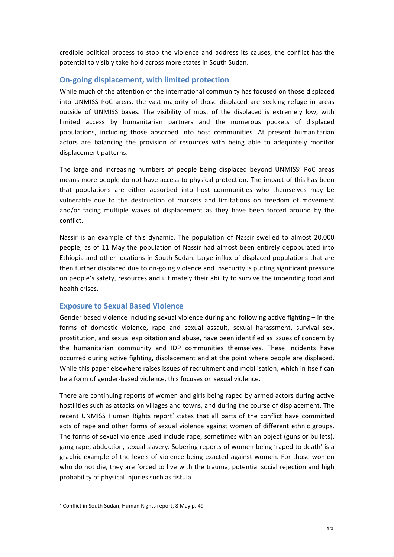credible political process to stop the violence and address its causes, the conflict has the potential to visibly take hold across more states in South Sudan.

### **On-going displacement, with limited protection**

While much of the attention of the international community has focused on those displaced into UNMISS PoC areas, the vast majority of those displaced are seeking refuge in areas outside of UNMISS bases. The visibility of most of the displaced is extremely low, with limited access by humanitarian partners and the numerous pockets of displaced populations, including those absorbed into host communities. At present humanitarian actors are balancing the provision of resources with being able to adequately monitor displacement patterns.

The large and increasing numbers of people being displaced beyond UNMISS' PoC areas means more people do not have access to physical protection. The impact of this has been that populations are either absorbed into host communities who themselves may be vulnerable due to the destruction of markets and limitations on freedom of movement and/or facing multiple waves of displacement as they have been forced around by the conflict. 

Nassir is an example of this dynamic. The population of Nassir swelled to almost 20,000 people; as of 11 May the population of Nassir had almost been entirely depopulated into Ethiopia and other locations in South Sudan. Large influx of displaced populations that are then further displaced due to on-going violence and insecurity is putting significant pressure on people's safety, resources and ultimately their ability to survive the impending food and health crises.

### **Exposure to Sexual Based Violence**

Gender based violence including sexual violence during and following active fighting  $-$  in the forms of domestic violence, rape and sexual assault, sexual harassment, survival sex, prostitution, and sexual exploitation and abuse, have been identified as issues of concern by the humanitarian community and IDP communities themselves. These incidents have occurred during active fighting, displacement and at the point where people are displaced. While this paper elsewhere raises issues of recruitment and mobilisation, which in itself can be a form of gender-based violence, this focuses on sexual violence.

There are continuing reports of women and girls being raped by armed actors during active hostilities such as attacks on villages and towns, and during the course of displacement. The recent UNMISS Human Rights report<sup>7</sup> states that all parts of the conflict have committed acts of rape and other forms of sexual violence against women of different ethnic groups. The forms of sexual violence used include rape, sometimes with an object (guns or bullets), gang rape, abduction, sexual slavery. Sobering reports of women being 'raped to death' is a graphic example of the levels of violence being exacted against women. For those women who do not die, they are forced to live with the trauma, potential social rejection and high probability of physical injuries such as fistula.

 $7$  Conflict in South Sudan, Human Rights report, 8 May p. 49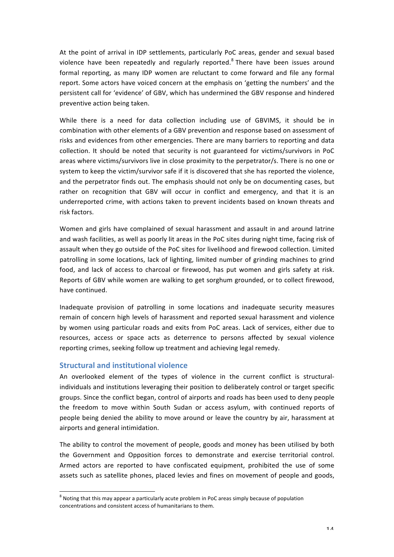At the point of arrival in IDP settlements, particularly PoC areas, gender and sexual based violence have been repeatedly and regularly reported.<sup>8</sup> There have been issues around formal reporting, as many IDP women are reluctant to come forward and file any formal report. Some actors have voiced concern at the emphasis on 'getting the numbers' and the persistent call for 'evidence' of GBV, which has undermined the GBV response and hindered preventive action being taken.

While there is a need for data collection including use of GBVIMS, it should be in combination with other elements of a GBV prevention and response based on assessment of risks and evidences from other emergencies. There are many barriers to reporting and data collection. It should be noted that security is not guaranteed for victims/survivors in PoC areas where victims/survivors live in close proximity to the perpetrator/s. There is no one or system to keep the victim/survivor safe if it is discovered that she has reported the violence, and the perpetrator finds out. The emphasis should not only be on documenting cases, but rather on recognition that GBV will occur in conflict and emergency, and that it is an underreported crime, with actions taken to prevent incidents based on known threats and risk factors.

Women and girls have complained of sexual harassment and assault in and around latrine and wash facilities, as well as poorly lit areas in the PoC sites during night time, facing risk of assault when they go outside of the PoC sites for livelihood and firewood collection. Limited patrolling in some locations, lack of lighting, limited number of grinding machines to grind food, and lack of access to charcoal or firewood, has put women and girls safety at risk. Reports of GBV while women are walking to get sorghum grounded, or to collect firewood, have continued.

Inadequate provision of patrolling in some locations and inadequate security measures remain of concern high levels of harassment and reported sexual harassment and violence by women using particular roads and exits from PoC areas. Lack of services, either due to resources, access or space acts as deterrence to persons affected by sexual violence reporting crimes, seeking follow up treatment and achieving legal remedy.

#### **Structural and institutional violence**

An overlooked element of the types of violence in the current conflict is structuralindividuals and institutions leveraging their position to deliberately control or target specific groups. Since the conflict began, control of airports and roads has been used to deny people the freedom to move within South Sudan or access asylum, with continued reports of people being denied the ability to move around or leave the country by air, harassment at airports and general intimidation.

The ability to control the movement of people, goods and money has been utilised by both the Government and Opposition forces to demonstrate and exercise territorial control. Armed actors are reported to have confiscated equipment, prohibited the use of some assets such as satellite phones, placed levies and fines on movement of people and goods,

 $8$  Noting that this may appear a particularly acute problem in PoC areas simply because of population concentrations and consistent access of humanitarians to them.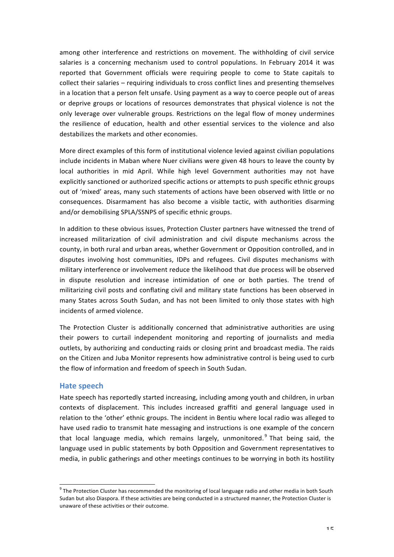among other interference and restrictions on movement. The withholding of civil service salaries is a concerning mechanism used to control populations. In February 2014 it was reported that Government officials were requiring people to come to State capitals to collect their salaries - requiring individuals to cross conflict lines and presenting themselves in a location that a person felt unsafe. Using payment as a way to coerce people out of areas or deprive groups or locations of resources demonstrates that physical violence is not the only leverage over vulnerable groups. Restrictions on the legal flow of money undermines the resilience of education, health and other essential services to the violence and also destabilizes the markets and other economies.

More direct examples of this form of institutional violence levied against civilian populations include incidents in Maban where Nuer civilians were given 48 hours to leave the county by local authorities in mid April. While high level Government authorities may not have explicitly sanctioned or authorized specific actions or attempts to push specific ethnic groups out of 'mixed' areas, many such statements of actions have been observed with little or no consequences. Disarmament has also become a visible tactic, with authorities disarming and/or demobilising SPLA/SSNPS of specific ethnic groups.

In addition to these obvious issues. Protection Cluster partners have witnessed the trend of increased militarization of civil administration and civil dispute mechanisms across the county, in both rural and urban areas, whether Government or Opposition controlled, and in disputes involving host communities, IDPs and refugees. Civil disputes mechanisms with military interference or involvement reduce the likelihood that due process will be observed in dispute resolution and increase intimidation of one or both parties. The trend of militarizing civil posts and conflating civil and military state functions has been observed in many States across South Sudan, and has not been limited to only those states with high incidents of armed violence.

The Protection Cluster is additionally concerned that administrative authorities are using their powers to curtail independent monitoring and reporting of journalists and media outlets, by authorizing and conducting raids or closing print and broadcast media. The raids on the Citizen and Juba Monitor represents how administrative control is being used to curb the flow of information and freedom of speech in South Sudan.

#### **Hate speech**

Hate speech has reportedly started increasing, including among youth and children, in urban contexts of displacement. This includes increased graffiti and general language used in relation to the 'other' ethnic groups. The incident in Bentiu where local radio was alleged to have used radio to transmit hate messaging and instructions is one example of the concern that local language media, which remains largely, unmonitored.  $9$  That being said, the language used in public statements by both Opposition and Government representatives to media, in public gatherings and other meetings continues to be worrying in both its hostility

 $9$  The Protection Cluster has recommended the monitoring of local language radio and other media in both South Sudan but also Diaspora. If these activities are being conducted in a structured manner, the Protection Cluster is unaware of these activities or their outcome.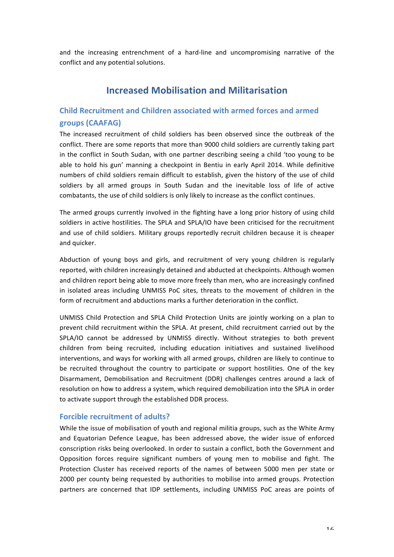and the increasing entrenchment of a hard-line and uncompromising narrative of the conflict and any potential solutions.

# **Increased Mobilisation and Militarisation**

## **Child Recruitment and Children associated with armed forces and armed groups (CAAFAG)**

The increased recruitment of child soldiers has been observed since the outbreak of the conflict. There are some reports that more than 9000 child soldiers are currently taking part in the conflict in South Sudan, with one partner describing seeing a child 'too young to be able to hold his gun' manning a checkpoint in Bentiu in early April 2014. While definitive numbers of child soldiers remain difficult to establish, given the history of the use of child soldiers by all armed groups in South Sudan and the inevitable loss of life of active combatants, the use of child soldiers is only likely to increase as the conflict continues.

The armed groups currently involved in the fighting have a long prior history of using child soldiers in active hostilities. The SPLA and SPLA/IO have been criticised for the recruitment and use of child soldiers. Military groups reportedly recruit children because it is cheaper and quicker.

Abduction of young boys and girls, and recruitment of very young children is regularly reported, with children increasingly detained and abducted at checkpoints. Although women and children report being able to move more freely than men, who are increasingly confined in isolated areas including UNMISS PoC sites, threats to the movement of children in the form of recruitment and abductions marks a further deterioration in the conflict.

UNMISS Child Protection and SPLA Child Protection Units are jointly working on a plan to prevent child recruitment within the SPLA. At present, child recruitment carried out by the SPLA/IO cannot be addressed by UNMISS directly. Without strategies to both prevent children from being recruited, including education initiatives and sustained livelihood interventions, and ways for working with all armed groups, children are likely to continue to be recruited throughout the country to participate or support hostilities. One of the key Disarmament, Demobilisation and Recruitment (DDR) challenges centres around a lack of resolution on how to address a system, which required demobilization into the SPLA in order to activate support through the established DDR process.

### **Forcible recruitment of adults?**

While the issue of mobilisation of youth and regional militia groups, such as the White Army and Equatorian Defence League, has been addressed above, the wider issue of enforced conscription risks being overlooked. In order to sustain a conflict, both the Government and Opposition forces require significant numbers of young men to mobilise and fight. The Protection Cluster has received reports of the names of between 5000 men per state or 2000 per county being requested by authorities to mobilise into armed groups. Protection partners are concerned that IDP settlements, including UNMISS PoC areas are points of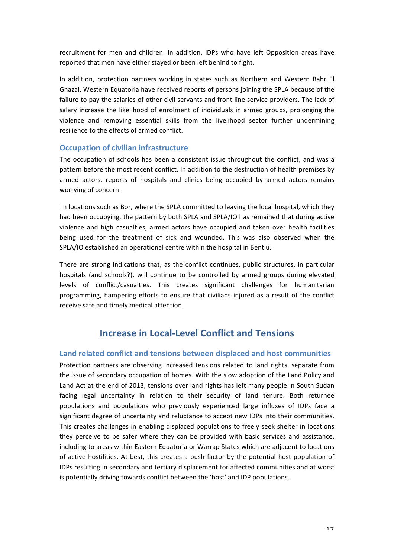recruitment for men and children. In addition, IDPs who have left Opposition areas have reported that men have either stayed or been left behind to fight.

In addition, protection partners working in states such as Northern and Western Bahr El Ghazal, Western Equatoria have received reports of persons joining the SPLA because of the failure to pay the salaries of other civil servants and front line service providers. The lack of salary increase the likelihood of enrolment of individuals in armed groups, prolonging the violence and removing essential skills from the livelihood sector further undermining resilience to the effects of armed conflict.

### **Occupation of civilian infrastructure**

The occupation of schools has been a consistent issue throughout the conflict, and was a pattern before the most recent conflict. In addition to the destruction of health premises by armed actors, reports of hospitals and clinics being occupied by armed actors remains worrying of concern.

In locations such as Bor, where the SPLA committed to leaving the local hospital, which they had been occupying, the pattern by both SPLA and SPLA/IO has remained that during active violence and high casualties, armed actors have occupied and taken over health facilities being used for the treatment of sick and wounded. This was also observed when the SPLA/IO established an operational centre within the hospital in Bentiu.

There are strong indications that, as the conflict continues, public structures, in particular hospitals (and schools?), will continue to be controlled by armed groups during elevated levels of conflict/casualties. This creates significant challenges for humanitarian programming, hampering efforts to ensure that civilians injured as a result of the conflict receive safe and timely medical attention.

# **Increase in Local-Level Conflict and Tensions**

### **Land related conflict and tensions between displaced and host communities**

Protection partners are observing increased tensions related to land rights, separate from the issue of secondary occupation of homes. With the slow adoption of the Land Policy and Land Act at the end of 2013, tensions over land rights has left many people in South Sudan facing legal uncertainty in relation to their security of land tenure. Both returnee populations and populations who previously experienced large influxes of IDPs face a significant degree of uncertainty and reluctance to accept new IDPs into their communities. This creates challenges in enabling displaced populations to freely seek shelter in locations they perceive to be safer where they can be provided with basic services and assistance, including to areas within Eastern Equatoria or Warrap States which are adjacent to locations of active hostilities. At best, this creates a push factor by the potential host population of IDPs resulting in secondary and tertiary displacement for affected communities and at worst is potentially driving towards conflict between the 'host' and IDP populations.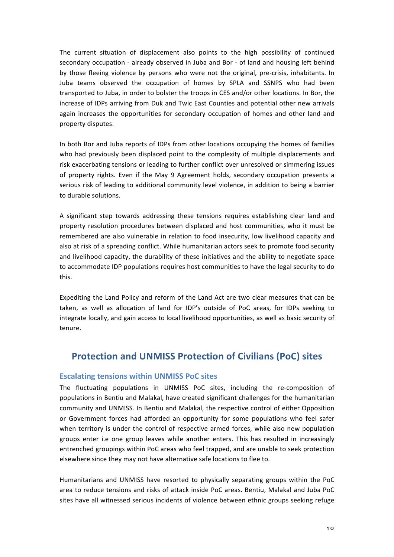The current situation of displacement also points to the high possibility of continued secondary occupation - already observed in Juba and Bor - of land and housing left behind by those fleeing violence by persons who were not the original, pre-crisis, inhabitants. In Juba teams observed the occupation of homes by SPLA and SSNPS who had been transported to Juba, in order to bolster the troops in CES and/or other locations. In Bor, the increase of IDPs arriving from Duk and Twic East Counties and potential other new arrivals again increases the opportunities for secondary occupation of homes and other land and property disputes.

In both Bor and Juba reports of IDPs from other locations occupying the homes of families who had previously been displaced point to the complexity of multiple displacements and risk exacerbating tensions or leading to further conflict over unresolved or simmering issues of property rights. Even if the May 9 Agreement holds, secondary occupation presents a serious risk of leading to additional community level violence, in addition to being a barrier to durable solutions.

A significant step towards addressing these tensions requires establishing clear land and property resolution procedures between displaced and host communities, who it must be remembered are also vulnerable in relation to food insecurity, low livelihood capacity and also at risk of a spreading conflict. While humanitarian actors seek to promote food security and livelihood capacity, the durability of these initiatives and the ability to negotiate space to accommodate IDP populations requires host communities to have the legal security to do this.

Expediting the Land Policy and reform of the Land Act are two clear measures that can be taken, as well as allocation of land for IDP's outside of PoC areas, for IDPs seeking to integrate locally, and gain access to local livelihood opportunities, as well as basic security of tenure.

## **Protection and UNMISS Protection of Civilians (PoC) sites**

#### **Escalating tensions within UNMISS PoC sites**

The fluctuating populations in UNMISS PoC sites, including the re-composition of populations in Bentiu and Malakal, have created significant challenges for the humanitarian community and UNMISS. In Bentiu and Malakal, the respective control of either Opposition or Government forces had afforded an opportunity for some populations who feel safer when territory is under the control of respective armed forces, while also new population groups enter i.e one group leaves while another enters. This has resulted in increasingly entrenched groupings within PoC areas who feel trapped, and are unable to seek protection elsewhere since they may not have alternative safe locations to flee to.

Humanitarians and UNMISS have resorted to physically separating groups within the PoC area to reduce tensions and risks of attack inside PoC areas. Bentiu, Malakal and Juba PoC sites have all witnessed serious incidents of violence between ethnic groups seeking refuge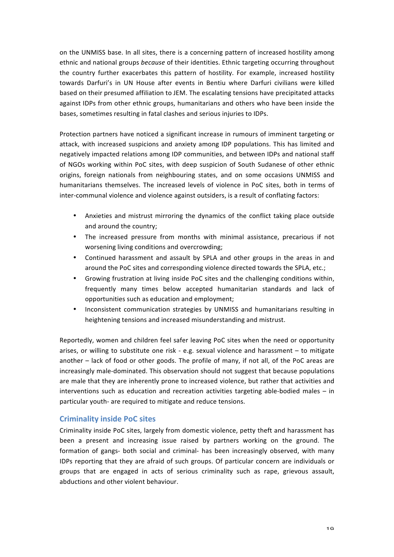on the UNMISS base. In all sites, there is a concerning pattern of increased hostility among ethnic and national groups *because* of their identities. Ethnic targeting occurring throughout the country further exacerbates this pattern of hostility. For example, increased hostility towards Darfuri's in UN House after events in Bentiu where Darfuri civilians were killed based on their presumed affiliation to JEM. The escalating tensions have precipitated attacks against IDPs from other ethnic groups, humanitarians and others who have been inside the bases, sometimes resulting in fatal clashes and serious injuries to IDPs.

Protection partners have noticed a significant increase in rumours of imminent targeting or attack, with increased suspicions and anxiety among IDP populations. This has limited and negatively impacted relations among IDP communities, and between IDPs and national staff of NGOs working within PoC sites, with deep suspicion of South Sudanese of other ethnic origins, foreign nationals from neighbouring states, and on some occasions UNMISS and humanitarians themselves. The increased levels of violence in PoC sites, both in terms of inter-communal violence and violence against outsiders, is a result of conflating factors:

- Anxieties and mistrust mirroring the dynamics of the conflict taking place outside and around the country;
- The increased pressure from months with minimal assistance, precarious if not worsening living conditions and overcrowding;
- Continued harassment and assault by SPLA and other groups in the areas in and around the PoC sites and corresponding violence directed towards the SPLA, etc.;
- Growing frustration at living inside PoC sites and the challenging conditions within, frequently many times below accepted humanitarian standards and lack of opportunities such as education and employment;
- Inconsistent communication strategies by UNMISS and humanitarians resulting in heightening tensions and increased misunderstanding and mistrust.

Reportedly, women and children feel safer leaving PoC sites when the need or opportunity arises, or willing to substitute one risk - e.g. sexual violence and harassment  $-$  to mitigate another – lack of food or other goods. The profile of many, if not all, of the PoC areas are increasingly male-dominated. This observation should not suggest that because populations are male that they are inherently prone to increased violence, but rather that activities and interventions such as education and recreation activities targeting able-bodied males  $-$  in particular youth- are required to mitigate and reduce tensions.

### **Criminality inside PoC sites**

Criminality inside PoC sites, largely from domestic violence, petty theft and harassment has been a present and increasing issue raised by partners working on the ground. The formation of gangs- both social and criminal- has been increasingly observed, with many IDPs reporting that they are afraid of such groups. Of particular concern are individuals or groups that are engaged in acts of serious criminality such as rape, grievous assault, abductions and other violent behaviour.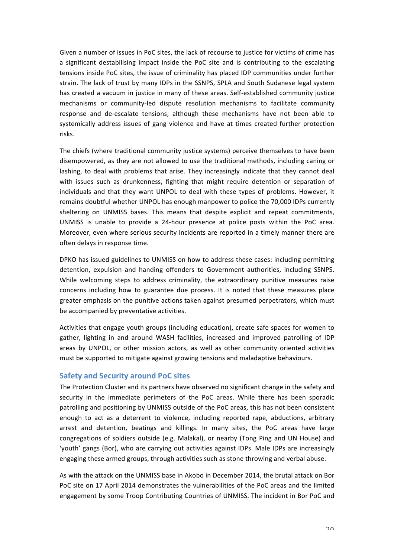Given a number of issues in PoC sites, the lack of recourse to justice for victims of crime has a significant destabilising impact inside the PoC site and is contributing to the escalating tensions inside PoC sites, the issue of criminality has placed IDP communities under further strain. The lack of trust by many IDPs in the SSNPS, SPLA and South Sudanese legal system has created a vacuum in justice in many of these areas. Self-established community justice mechanisms or community-led dispute resolution mechanisms to facilitate community response and de-escalate tensions; although these mechanisms have not been able to systemically address issues of gang violence and have at times created further protection risks.

The chiefs (where traditional community justice systems) perceive themselves to have been disempowered, as they are not allowed to use the traditional methods, including caning or lashing, to deal with problems that arise. They increasingly indicate that they cannot deal with issues such as drunkenness, fighting that might require detention or separation of individuals and that they want UNPOL to deal with these types of problems. However, it remains doubtful whether UNPOL has enough manpower to police the 70,000 IDPs currently sheltering on UNMISS bases. This means that despite explicit and repeat commitments, UNMISS is unable to provide a 24-hour presence at police posts within the PoC area. Moreover, even where serious security incidents are reported in a timely manner there are often delays in response time.

DPKO has issued guidelines to UNMISS on how to address these cases: including permitting detention, expulsion and handing offenders to Government authorities, including SSNPS. While welcoming steps to address criminality, the extraordinary punitive measures raise concerns including how to guarantee due process. It is noted that these measures place greater emphasis on the punitive actions taken against presumed perpetrators, which must be accompanied by preventative activities.

Activities that engage youth groups (including education), create safe spaces for women to gather, lighting in and around WASH facilities, increased and improved patrolling of IDP areas by UNPOL, or other mission actors, as well as other community oriented activities must be supported to mitigate against growing tensions and maladaptive behaviours.

### **Safety and Security around PoC sites**

The Protection Cluster and its partners have observed no significant change in the safety and security in the immediate perimeters of the PoC areas. While there has been sporadic patrolling and positioning by UNMISS outside of the PoC areas, this has not been consistent enough to act as a deterrent to violence, including reported rape, abductions, arbitrary arrest and detention, beatings and killings. In many sites, the PoC areas have large congregations of soldiers outside (e.g. Malakal), or nearby (Tong Ping and UN House) and 'youth' gangs (Bor), who are carrying out activities against IDPs. Male IDPs are increasingly engaging these armed groups, through activities such as stone throwing and verbal abuse.

As with the attack on the UNMISS base in Akobo in December 2014, the brutal attack on Bor PoC site on 17 April 2014 demonstrates the vulnerabilities of the PoC areas and the limited engagement by some Troop Contributing Countries of UNMISS. The incident in Bor PoC and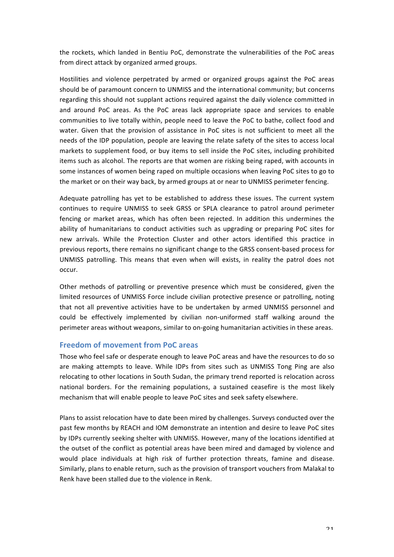the rockets, which landed in Bentiu PoC, demonstrate the vulnerabilities of the PoC areas from direct attack by organized armed groups.

Hostilities and violence perpetrated by armed or organized groups against the PoC areas should be of paramount concern to UNMISS and the international community; but concerns regarding this should not supplant actions required against the daily violence committed in and around PoC areas. As the PoC areas lack appropriate space and services to enable communities to live totally within, people need to leave the PoC to bathe, collect food and water. Given that the provision of assistance in PoC sites is not sufficient to meet all the needs of the IDP population, people are leaving the relate safety of the sites to access local markets to supplement food, or buy items to sell inside the PoC sites, including prohibited items such as alcohol. The reports are that women are risking being raped, with accounts in some instances of women being raped on multiple occasions when leaving PoC sites to go to the market or on their way back, by armed groups at or near to UNMISS perimeter fencing.

Adequate patrolling has yet to be established to address these issues. The current system continues to require UNMISS to seek GRSS or SPLA clearance to patrol around perimeter fencing or market areas, which has often been rejected. In addition this undermines the ability of humanitarians to conduct activities such as upgrading or preparing PoC sites for new arrivals. While the Protection Cluster and other actors identified this practice in previous reports, there remains no significant change to the GRSS consent-based process for UNMISS patrolling. This means that even when will exists, in reality the patrol does not occur.

Other methods of patrolling or preventive presence which must be considered, given the limited resources of UNMISS Force include civilian protective presence or patrolling, noting that not all preventive activities have to be undertaken by armed UNMISS personnel and could be effectively implemented by civilian non-uniformed staff walking around the perimeter areas without weapons, similar to on-going humanitarian activities in these areas.

### **Freedom of movement from PoC areas**

Those who feel safe or desperate enough to leave PoC areas and have the resources to do so are making attempts to leave. While IDPs from sites such as UNMISS Tong Ping are also relocating to other locations in South Sudan, the primary trend reported is relocation across national borders. For the remaining populations, a sustained ceasefire is the most likely mechanism that will enable people to leave PoC sites and seek safety elsewhere.

Plans to assist relocation have to date been mired by challenges. Surveys conducted over the past few months by REACH and IOM demonstrate an intention and desire to leave PoC sites by IDPs currently seeking shelter with UNMISS. However, many of the locations identified at the outset of the conflict as potential areas have been mired and damaged by violence and would place individuals at high risk of further protection threats, famine and disease. Similarly, plans to enable return, such as the provision of transport vouchers from Malakal to Renk have been stalled due to the violence in Renk.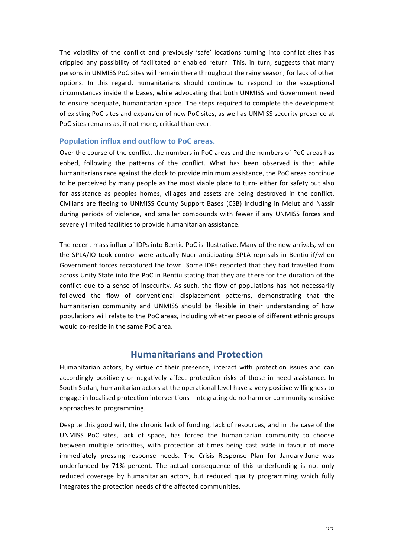The volatility of the conflict and previously 'safe' locations turning into conflict sites has crippled any possibility of facilitated or enabled return. This, in turn, suggests that many persons in UNMISS PoC sites will remain there throughout the rainy season, for lack of other options. In this regard, humanitarians should continue to respond to the exceptional circumstances inside the bases, while advocating that both UNMISS and Government need to ensure adequate, humanitarian space. The steps required to complete the development of existing PoC sites and expansion of new PoC sites, as well as UNMISS security presence at PoC sites remains as, if not more, critical than ever.

#### **Population influx and outflow to PoC areas.**

Over the course of the conflict, the numbers in PoC areas and the numbers of PoC areas has ebbed, following the patterns of the conflict. What has been observed is that while humanitarians race against the clock to provide minimum assistance, the PoC areas continue to be perceived by many people as the most viable place to turn- either for safety but also for assistance as peoples homes, villages and assets are being destroyed in the conflict. Civilians are fleeing to UNMISS County Support Bases (CSB) including in Melut and Nassir during periods of violence, and smaller compounds with fewer if any UNMISS forces and severely limited facilities to provide humanitarian assistance.

The recent mass influx of IDPs into Bentiu PoC is illustrative. Many of the new arrivals, when the SPLA/IO took control were actually Nuer anticipating SPLA reprisals in Bentiu if/when Government forces recaptured the town. Some IDPs reported that they had travelled from across Unity State into the PoC in Bentiu stating that they are there for the duration of the conflict due to a sense of insecurity. As such, the flow of populations has not necessarily followed the flow of conventional displacement patterns, demonstrating that the humanitarian community and UNMISS should be flexible in their understanding of how populations will relate to the PoC areas, including whether people of different ethnic groups would co-reside in the same PoC area.

## **Humanitarians and Protection**

Humanitarian actors, by virtue of their presence, interact with protection issues and can accordingly positively or negatively affect protection risks of those in need assistance. In South Sudan, humanitarian actors at the operational level have a very positive willingness to engage in localised protection interventions - integrating do no harm or community sensitive approaches to programming.

Despite this good will, the chronic lack of funding, lack of resources, and in the case of the UNMISS PoC sites, lack of space, has forced the humanitarian community to choose between multiple priorities, with protection at times being cast aside in favour of more immediately pressing response needs. The Crisis Response Plan for January-June was underfunded by 71% percent. The actual consequence of this underfunding is not only reduced coverage by humanitarian actors, but reduced quality programming which fully integrates the protection needs of the affected communities.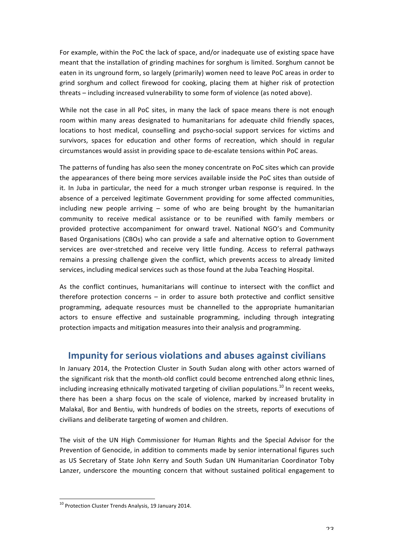For example, within the PoC the lack of space, and/or inadequate use of existing space have meant that the installation of grinding machines for sorghum is limited. Sorghum cannot be eaten in its unground form, so largely (primarily) women need to leave PoC areas in order to grind sorghum and collect firewood for cooking, placing them at higher risk of protection threats – including increased vulnerability to some form of violence (as noted above).

While not the case in all PoC sites, in many the lack of space means there is not enough room within many areas designated to humanitarians for adequate child friendly spaces, locations to host medical, counselling and psycho-social support services for victims and survivors, spaces for education and other forms of recreation, which should in regular circumstances would assist in providing space to de-escalate tensions within PoC areas.

The patterns of funding has also seen the money concentrate on PoC sites which can provide the appearances of there being more services available inside the PoC sites than outside of it. In Juba in particular, the need for a much stronger urban response is required. In the absence of a perceived legitimate Government providing for some affected communities, including new people arriving  $-$  some of who are being brought by the humanitarian community to receive medical assistance or to be reunified with family members or provided protective accompaniment for onward travel. National NGO's and Community Based Organisations (CBOs) who can provide a safe and alternative option to Government services are over-stretched and receive very little funding. Access to referral pathways remains a pressing challenge given the conflict, which prevents access to already limited services, including medical services such as those found at the Juba Teaching Hospital.

As the conflict continues, humanitarians will continue to intersect with the conflict and therefore protection concerns  $-$  in order to assure both protective and conflict sensitive programming, adequate resources must be channelled to the appropriate humanitarian actors to ensure effective and sustainable programming, including through integrating protection impacts and mitigation measures into their analysis and programming.

## **Impunity for serious violations and abuses against civilians**

In January 2014, the Protection Cluster in South Sudan along with other actors warned of the significant risk that the month-old conflict could become entrenched along ethnic lines, including increasing ethnically motivated targeting of civilian populations.<sup>10</sup> In recent weeks, there has been a sharp focus on the scale of violence, marked by increased brutality in Malakal, Bor and Bentiu, with hundreds of bodies on the streets, reports of executions of civilians and deliberate targeting of women and children.

The visit of the UN High Commissioner for Human Rights and the Special Advisor for the Prevention of Genocide, in addition to comments made by senior international figures such as US Secretary of State John Kerry and South Sudan UN Humanitarian Coordinator Toby Lanzer, underscore the mounting concern that without sustained political engagement to

 $10$  Protection Cluster Trends Analysis, 19 January 2014.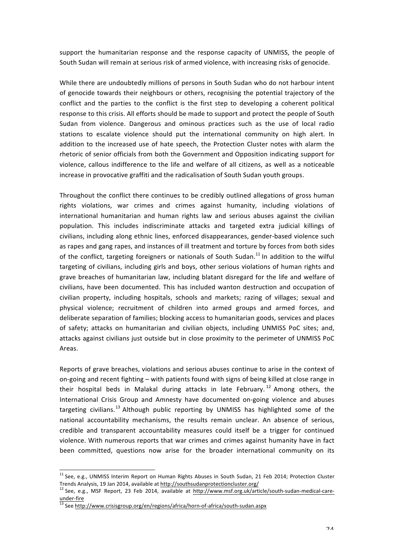support the humanitarian response and the response capacity of UNMISS, the people of South Sudan will remain at serious risk of armed violence, with increasing risks of genocide.

While there are undoubtedly millions of persons in South Sudan who do not harbour intent of genocide towards their neighbours or others, recognising the potential trajectory of the conflict and the parties to the conflict is the first step to developing a coherent political response to this crisis. All efforts should be made to support and protect the people of South Sudan from violence. Dangerous and ominous practices such as the use of local radio stations to escalate violence should put the international community on high alert. In addition to the increased use of hate speech, the Protection Cluster notes with alarm the rhetoric of senior officials from both the Government and Opposition indicating support for violence, callous indifference to the life and welfare of all citizens, as well as a noticeable increase in provocative graffiti and the radicalisation of South Sudan youth groups.

Throughout the conflict there continues to be credibly outlined allegations of gross human rights violations, war crimes and crimes against humanity, including violations of international humanitarian and human rights law and serious abuses against the civilian population. This includes indiscriminate attacks and targeted extra judicial killings of civilians, including along ethnic lines, enforced disappearances, gender-based violence such as rapes and gang rapes, and instances of ill treatment and torture by forces from both sides of the conflict, targeting foreigners or nationals of South Sudan.<sup>11</sup> In addition to the wilful targeting of civilians, including girls and boys, other serious violations of human rights and grave breaches of humanitarian law, including blatant disregard for the life and welfare of civilians, have been documented. This has included wanton destruction and occupation of civilian property, including hospitals, schools and markets; razing of villages; sexual and physical violence; recruitment of children into armed groups and armed forces, and deliberate separation of families; blocking access to humanitarian goods, services and places of safety; attacks on humanitarian and civilian objects, including UNMISS PoC sites; and, attacks against civilians just outside but in close proximity to the perimeter of UNMISS PoC Areas.

Reports of grave breaches, violations and serious abuses continue to arise in the context of on-going and recent fighting – with patients found with signs of being killed at close range in their hospital beds in Malakal during attacks in late February.<sup>12</sup> Among others, the International Crisis Group and Amnesty have documented on-going violence and abuses targeting civilians.<sup>13</sup> Although public reporting by UNMISS has highlighted some of the national accountability mechanisms, the results remain unclear. An absence of serious, credible and transparent accountability measures could itself be a trigger for continued violence. With numerous reports that war crimes and crimes against humanity have in fact been committed, questions now arise for the broader international community on its

<sup>&</sup>lt;sup>11</sup> See, e.g., UNMISS Interim Report on Human Rights Abuses in South Sudan, 21 Feb 2014; Protection Cluster Trends Analysis, 19 Jan 2014, available at http://southsudanprotectioncluster.org/

 $12$  See, e.g., MSF Report, 23 Feb 2014, available at http://www.msf.org.uk/article/south-sudan-medical-careunder-fire<br> $\frac{13}{13}$  See http://www.crisisgroup.org/en/regions/africa/horn-of-africa/south-sudan.aspx